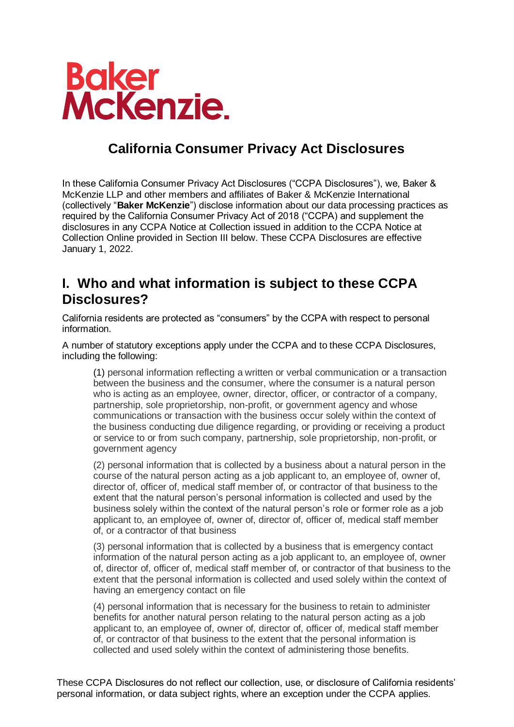

## **California Consumer Privacy Act Disclosures**

In these California Consumer Privacy Act Disclosures ("CCPA Disclosures"), we, Baker & McKenzie LLP and other members and affiliates of Baker & McKenzie International (collectively "**Baker McKenzie**") disclose information about our data processing practices as required by the California Consumer Privacy Act of 2018 ("CCPA) and supplement the disclosures in any CCPA Notice at Collection issued in addition to the CCPA Notice at Collection Online provided in Section III below. These CCPA Disclosures are effective January 1, 2022.

### **I. Who and what information is subject to these CCPA Disclosures?**

California residents are protected as "consumers" by the CCPA with respect to personal information.

A number of statutory exceptions apply under the CCPA and to these CCPA Disclosures, including the following:

(1) personal information reflecting a written or verbal communication or a transaction between the business and the consumer, where the consumer is a natural person who is acting as an employee, owner, director, officer, or contractor of a company, partnership, sole proprietorship, non-profit, or government agency and whose communications or transaction with the business occur solely within the context of the business conducting due diligence regarding, or providing or receiving a product or service to or from such company, partnership, sole proprietorship, non-profit, or government agency

(2) personal information that is collected by a business about a natural person in the course of the natural person acting as a job applicant to, an employee of, owner of, director of, officer of, medical staff member of, or contractor of that business to the extent that the natural person's personal information is collected and used by the business solely within the context of the natural person's role or former role as a job applicant to, an employee of, owner of, director of, officer of, medical staff member of, or a contractor of that business

(3) personal information that is collected by a business that is emergency contact information of the natural person acting as a job applicant to, an employee of, owner of, director of, officer of, medical staff member of, or contractor of that business to the extent that the personal information is collected and used solely within the context of having an emergency contact on file

(4) personal information that is necessary for the business to retain to administer benefits for another natural person relating to the natural person acting as a job applicant to, an employee of, owner of, director of, officer of, medical staff member of, or contractor of that business to the extent that the personal information is collected and used solely within the context of administering those benefits.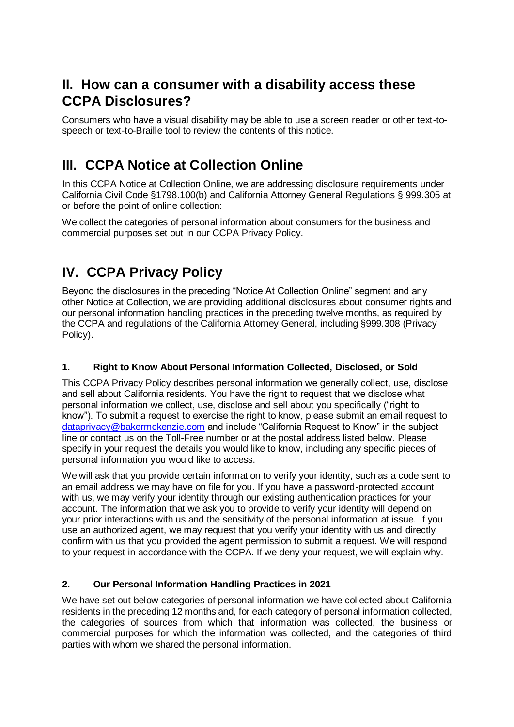### **II. How can a consumer with a disability access these CCPA Disclosures?**

Consumers who have a visual disability may be able to use a screen reader or other text-tospeech or text-to-Braille tool to review the contents of this notice.

### **III. CCPA Notice at Collection Online**

In this CCPA Notice at Collection Online, we are addressing disclosure requirements under California Civil Code §1798.100(b) and California Attorney General Regulations § 999.305 at or before the point of online collection:

We collect the categories of personal information about consumers for the business and commercial purposes set out in our CCPA Privacy Policy.

# **IV. CCPA Privacy Policy**

Beyond the disclosures in the preceding "Notice At Collection Online" segment and any other Notice at Collection, we are providing additional disclosures about consumer rights and our personal information handling practices in the preceding twelve months, as required by the CCPA and regulations of the California Attorney General, including §999.308 (Privacy Policy).

#### **1. Right to Know About Personal Information Collected, Disclosed, or Sold**

This CCPA Privacy Policy describes personal information we generally collect, use, disclose and sell about California residents. You have the right to request that we disclose what personal information we collect, use, disclose and sell about you specifically ("right to know"). To submit a request to exercise the right to know, please submit an email request to [dataprivacy@bakermckenzie.com](mailto:dataprivacy@bakermckenzie.com) and include "California Request to Know" in the subject line or contact us on the Toll-Free number or at the postal address listed below. Please specify in your request the details you would like to know, including any specific pieces of personal information you would like to access.

We will ask that you provide certain information to verify your identity, such as a code sent to an email address we may have on file for you. If you have a password-protected account with us, we may verify your identity through our existing authentication practices for your account. The information that we ask you to provide to verify your identity will depend on your prior interactions with us and the sensitivity of the personal information at issue. If you use an authorized agent, we may request that you verify your identity with us and directly confirm with us that you provided the agent permission to submit a request. We will respond to your request in accordance with the CCPA. If we deny your request, we will explain why.

#### **2. Our Personal Information Handling Practices in 2021**

We have set out below categories of personal information we have collected about California residents in the preceding 12 months and, for each category of personal information collected, the categories of sources from which that information was collected, the business or commercial purposes for which the information was collected, and the categories of third parties with whom we shared the personal information.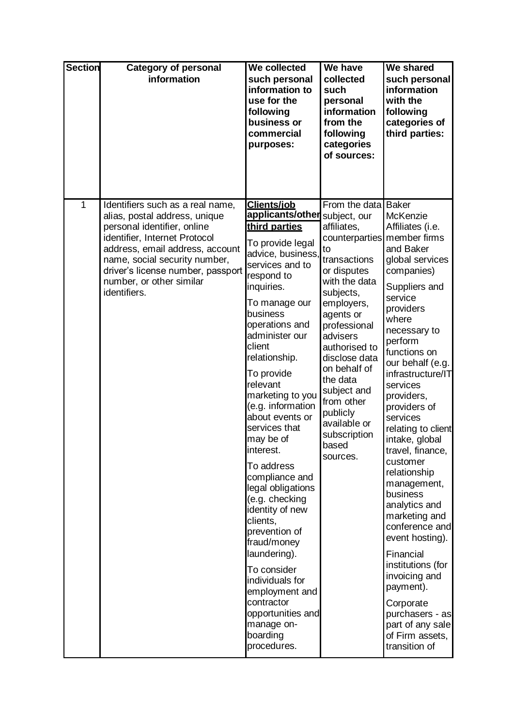| <b>Section</b> | <b>Category of personal</b><br>information                                                                                                                                                                                                                                             | We collected<br>such personal<br>information to<br>use for the<br>following<br>business or<br>commercial<br>purposes:                                                                                                                                                                                                                                                                                                                                                                                                                                                                                                                                              | We have<br>collected<br>such<br>personal<br>information<br>from the<br>following<br>categories<br>of sources:                                                                                                                                                                                                                                        | We shared<br>such personal<br>information<br>with the<br>following<br>categories of<br>third parties:                                                                                                                                                                                                                                                                                                                                                                                                                                                                                                                                                    |
|----------------|----------------------------------------------------------------------------------------------------------------------------------------------------------------------------------------------------------------------------------------------------------------------------------------|--------------------------------------------------------------------------------------------------------------------------------------------------------------------------------------------------------------------------------------------------------------------------------------------------------------------------------------------------------------------------------------------------------------------------------------------------------------------------------------------------------------------------------------------------------------------------------------------------------------------------------------------------------------------|------------------------------------------------------------------------------------------------------------------------------------------------------------------------------------------------------------------------------------------------------------------------------------------------------------------------------------------------------|----------------------------------------------------------------------------------------------------------------------------------------------------------------------------------------------------------------------------------------------------------------------------------------------------------------------------------------------------------------------------------------------------------------------------------------------------------------------------------------------------------------------------------------------------------------------------------------------------------------------------------------------------------|
| 1              | Identifiers such as a real name,<br>alias, postal address, unique<br>personal identifier, online<br>identifier, Internet Protocol<br>address, email address, account<br>name, social security number,<br>driver's license number, passport<br>number, or other similar<br>identifiers. | <b>Clients/iob</b><br>applicants/other<br>third parties<br>To provide legal<br>advice, business,<br>services and to<br>respond to<br>inquiries.<br>To manage our<br>business<br>operations and<br>administer our<br>client<br>relationship.<br>To provide<br>relevant<br>marketing to you<br>(e.g. information<br>about events or<br>services that<br>may be of<br>ınterest.<br>To address<br>compliance and<br>legal obligations<br>(e.g. checking<br>identity of new<br>clients,<br>prevention of<br>fraud/money<br>laundering).<br>To consider<br>individuals for<br>employment and<br>contractor<br>opportunities and<br>manage on-<br>boarding<br>procedures. | From the data<br>subject, our<br>affiliates,<br>counterparties<br>to<br>transactions<br>or disputes<br>with the data<br>subjects,<br>employers,<br>agents or<br>professional<br>advisers<br>authorised to<br>disclose data<br>on behalf of<br>the data<br>subject and<br>from other<br>publicly<br>available or<br>subscription<br>based<br>sources. | <b>Baker</b><br>McKenzie<br>Affiliates (i.e.<br>member firms<br>and Baker<br>global services<br>companies)<br>Suppliers and<br>service<br>providers<br>where<br>necessary to<br>perform<br>functions on<br>our behalf (e.g.<br>infrastructure/IT<br>services<br>providers,<br>providers of<br>services<br>relating to client<br>intake, global<br>travel, finance,<br>customer<br>relationship<br>management,<br>business<br>analytics and<br>marketing and<br>conference and<br>event hosting).<br>Financial<br>institutions (for<br>invoicing and<br>payment).<br>Corporate<br>purchasers - as<br>part of any sale<br>of Firm assets,<br>transition of |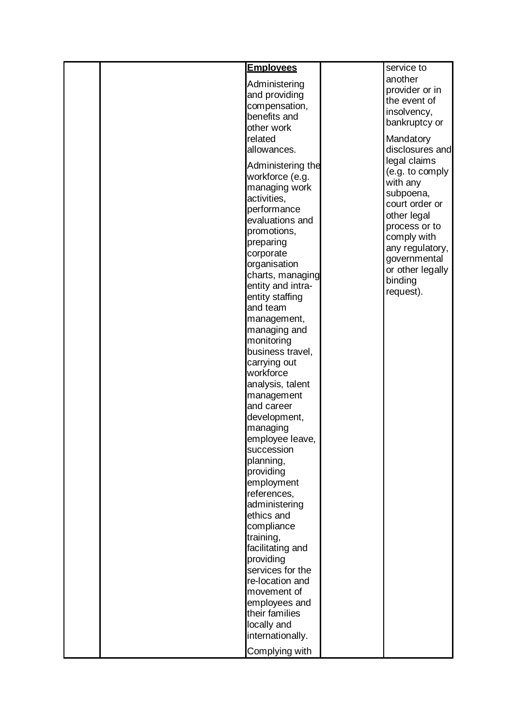|  | <b>Emplovees</b>              | service to                      |
|--|-------------------------------|---------------------------------|
|  | Administering                 | another                         |
|  | and providing                 | provider or in                  |
|  | compensation,                 | the event of                    |
|  | benefits and                  | insolvency,                     |
|  | other work                    | bankruptcy or                   |
|  | related                       | Mandatory                       |
|  | allowances.                   | disclosures and                 |
|  | Administering the             | legal claims                    |
|  | workforce (e.g.               | (e.g. to comply                 |
|  | managing work                 | with any                        |
|  | activities,                   | subpoena,                       |
|  | performance                   | court order or                  |
|  | evaluations and               | other legal                     |
|  | promotions,                   | process or to                   |
|  | preparing                     | comply with                     |
|  | corporate                     | any regulatory,<br>governmental |
|  | organisation                  | or other legally                |
|  | charts, managing              | binding                         |
|  | entity and intra-             | request).                       |
|  | entity staffing<br>and team   |                                 |
|  |                               |                                 |
|  | management,<br>managing and   |                                 |
|  | monitoring                    |                                 |
|  | business travel,              |                                 |
|  | carrying out                  |                                 |
|  | workforce                     |                                 |
|  | analysis, talent              |                                 |
|  | management                    |                                 |
|  | and career                    |                                 |
|  | development,                  |                                 |
|  | managing<br>employee leave,   |                                 |
|  | succession                    |                                 |
|  | planning,                     |                                 |
|  | providing                     |                                 |
|  | employment                    |                                 |
|  | references,                   |                                 |
|  | administering                 |                                 |
|  | ethics and                    |                                 |
|  | compliance                    |                                 |
|  | training,                     |                                 |
|  | facilitating and              |                                 |
|  | providing<br>services for the |                                 |
|  | re-location and               |                                 |
|  | movement of                   |                                 |
|  | employees and                 |                                 |
|  | their families                |                                 |
|  | locally and                   |                                 |
|  | internationally.              |                                 |
|  | Complying with                |                                 |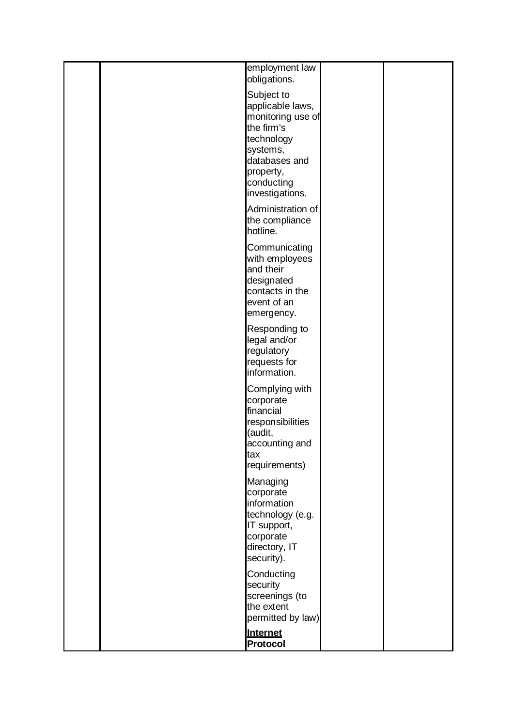|     | employment law<br>obligations.                                                                                                                             |  |
|-----|------------------------------------------------------------------------------------------------------------------------------------------------------------|--|
|     | Subject to<br>applicable laws,<br>monitoring use of<br>the firm's<br>technology<br>systems,<br>databases and<br>property,<br>conducting<br>investigations. |  |
|     | Administration of<br>the compliance<br>hotline.                                                                                                            |  |
|     | Communicating<br>with employees<br>and their<br>designated<br>contacts in the<br>event of an<br>emergency.                                                 |  |
|     | Responding to<br>legal and/or<br>regulatory<br>requests for<br>information.                                                                                |  |
| tax | Complying with<br>corporate<br>financial<br>responsibilities<br>(audit,<br>accounting and                                                                  |  |
|     | requirements)                                                                                                                                              |  |
|     | Managing<br>corporate<br>information<br>technology (e.g.<br>IT support,<br>corporate<br>directory, IT<br>security).                                        |  |
|     | Conducting<br>security<br>screenings (to<br>the extent<br>permitted by law)                                                                                |  |
|     | Internet<br>Protocol                                                                                                                                       |  |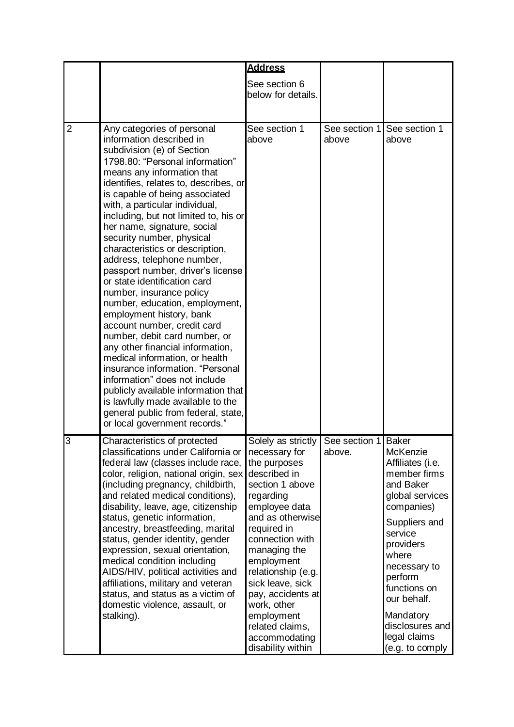|                |                                                                                                                                                                                                                                                                                                                                                                                                                                                                                                                                                                                                                                                                                                                                                                                                                                                                                                                                                                        | <b>Address</b>                                                                                                                                                                                                                                                                                                                                                |                         |                                                                                                                                                                                                                                                                                           |
|----------------|------------------------------------------------------------------------------------------------------------------------------------------------------------------------------------------------------------------------------------------------------------------------------------------------------------------------------------------------------------------------------------------------------------------------------------------------------------------------------------------------------------------------------------------------------------------------------------------------------------------------------------------------------------------------------------------------------------------------------------------------------------------------------------------------------------------------------------------------------------------------------------------------------------------------------------------------------------------------|---------------------------------------------------------------------------------------------------------------------------------------------------------------------------------------------------------------------------------------------------------------------------------------------------------------------------------------------------------------|-------------------------|-------------------------------------------------------------------------------------------------------------------------------------------------------------------------------------------------------------------------------------------------------------------------------------------|
|                |                                                                                                                                                                                                                                                                                                                                                                                                                                                                                                                                                                                                                                                                                                                                                                                                                                                                                                                                                                        | See section 6<br>below for details.                                                                                                                                                                                                                                                                                                                           |                         |                                                                                                                                                                                                                                                                                           |
| $\overline{2}$ | Any categories of personal<br>information described in<br>subdivision (e) of Section<br>1798.80: "Personal information"<br>means any information that<br>identifies, relates to, describes, or<br>is capable of being associated<br>with, a particular individual,<br>including, but not limited to, his or<br>her name, signature, social<br>security number, physical<br>characteristics or description,<br>address, telephone number,<br>passport number, driver's license<br>or state identification card<br>number, insurance policy<br>number, education, employment,<br>employment history, bank<br>account number, credit card<br>number, debit card number, or<br>any other financial information,<br>medical information, or health<br>insurance information. "Personal<br>information" does not include<br>publicly available information that<br>is lawfully made available to the<br>general public from federal, state,<br>or local government records." | See section 1<br>above                                                                                                                                                                                                                                                                                                                                        | See section 1<br>above  | See section 1<br>above                                                                                                                                                                                                                                                                    |
| 3              | Characteristics of protected<br>classifications under California or<br>federal law (classes include race,<br>color, religion, national origin, sex<br>(including pregnancy, childbirth,<br>and related medical conditions),<br>disability, leave, age, citizenship<br>status, genetic information,<br>ancestry, breastfeeding, marital<br>status, gender identity, gender<br>expression, sexual orientation,<br>medical condition including<br>AIDS/HIV, political activities and<br>affiliations, military and veteran<br>status, and status as a victim of<br>domestic violence, assault, or<br>stalking).                                                                                                                                                                                                                                                                                                                                                           | Solely as strictly<br>necessary for<br>the purposes<br>described in<br>section 1 above<br>regarding<br>employee data<br>and as otherwise<br>required in<br>connection with<br>managing the<br>employment<br>relationship (e.g.<br>sick leave, sick<br>pay, accidents at<br>work, other<br>employment<br>related claims,<br>accommodating<br>disability within | See section 1<br>above. | <b>Baker</b><br>McKenzie<br>Affiliates (i.e.<br>member firms<br>and Baker<br>global services<br>companies)<br>Suppliers and<br>service<br>providers<br>where<br>necessary to<br>perform<br>functions on<br>our behalf.<br>Mandatory<br>disclosures and<br>legal claims<br>(e.g. to comply |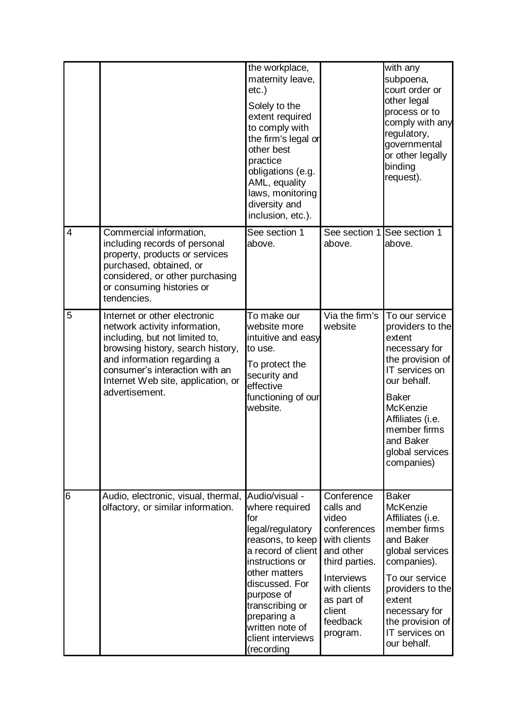|                |                                                                                                                                                                                                                                                               | the workplace,<br>maternity leave,<br>$etc.$ )<br>Solely to the<br>extent required<br>to comply with<br>the firm's legal or<br>other best<br>practice<br>obligations (e.g.<br>AML, equality<br>laws, monitoring<br>diversity and<br>inclusion, etc.).              |                                                                                                                                                                                     | with any<br>subpoena,<br>court order or<br>other legal<br>process or to<br>comply with any<br>regulatory,<br>governmental<br>or other legally<br>binding<br>request).                                                                    |
|----------------|---------------------------------------------------------------------------------------------------------------------------------------------------------------------------------------------------------------------------------------------------------------|--------------------------------------------------------------------------------------------------------------------------------------------------------------------------------------------------------------------------------------------------------------------|-------------------------------------------------------------------------------------------------------------------------------------------------------------------------------------|------------------------------------------------------------------------------------------------------------------------------------------------------------------------------------------------------------------------------------------|
| $\overline{4}$ | Commercial information,<br>including records of personal<br>property, products or services<br>purchased, obtained, or<br>considered, or other purchasing<br>or consuming histories or<br>tendencies.                                                          | See section 1<br>above.                                                                                                                                                                                                                                            | See section 1 See section 1<br>above.                                                                                                                                               | above.                                                                                                                                                                                                                                   |
| 5              | Internet or other electronic<br>network activity information,<br>including, but not limited to,<br>browsing history, search history,<br>and information regarding a<br>consumer's interaction with an<br>Internet Web site, application, or<br>advertisement. | To make our<br>website more<br>intuitive and easy<br>to use.<br>To protect the<br>security and<br>effective<br>functioning of our<br>website.                                                                                                                      | Via the firm's<br>website                                                                                                                                                           | To our service<br>providers to the<br>extent<br>necessary for<br>the provision of<br>IT services on<br>our behalf.<br><b>Baker</b><br>McKenzie<br>Affiliates (i.e.<br>member firms<br>and Baker<br>global services<br>companies)         |
| 6              | Audio, electronic, visual, thermal,<br>olfactory, or similar information.                                                                                                                                                                                     | Audio/visual -<br>where required<br>lfor<br>legal/regulatory<br>reasons, to keep<br>a record of client<br>instructions or<br>other matters<br>discussed. For<br>purpose of<br>transcribing or<br>preparing a<br>written note of<br>client interviews<br>(recording | Conference<br>calls and<br>video<br>conferences<br>with clients<br>and other<br>third parties.<br><b>Interviews</b><br>with clients<br>as part of<br>client<br>feedback<br>program. | <b>Baker</b><br><b>McKenzie</b><br>Affiliates (i.e.<br>member firms<br>and Baker<br>global services<br>companies).<br>To our service<br>providers to the<br>extent<br>necessary for<br>the provision of<br>IT services on<br>our behalf. |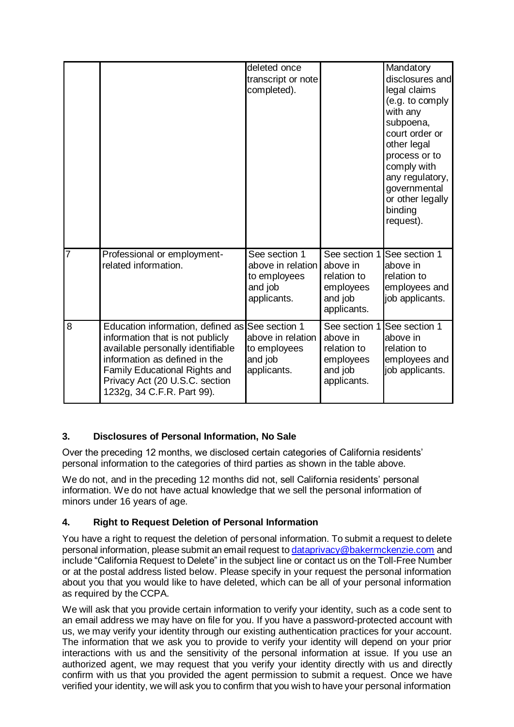|                |                                                                                                                                                                                                                                                            | deleted once<br>transcript or note<br>completed).                            |                                                                                               | Mandatory<br>disclosures and<br>legal claims<br>(e.g. to comply<br>with any<br>subpoena,<br>court order or<br>other legal<br>process or to<br>comply with<br>any regulatory,<br>governmental<br>or other legally<br>binding<br>request). |
|----------------|------------------------------------------------------------------------------------------------------------------------------------------------------------------------------------------------------------------------------------------------------------|------------------------------------------------------------------------------|-----------------------------------------------------------------------------------------------|------------------------------------------------------------------------------------------------------------------------------------------------------------------------------------------------------------------------------------------|
| 7              | Professional or employment-<br>related information.                                                                                                                                                                                                        | See section 1<br>above in relation<br>to employees<br>and job<br>applicants. | See section 1 See section 1<br>above in<br>relation to<br>employees<br>and job<br>applicants. | above in<br>relation to<br>employees and<br>job applicants.                                                                                                                                                                              |
| $\overline{8}$ | Education information, defined as See section 1<br>information that is not publicly<br>available personally identifiable<br>information as defined in the<br>Family Educational Rights and<br>Privacy Act (20 U.S.C. section<br>1232g, 34 C.F.R. Part 99). | above in relation<br>to employees<br>and job<br>applicants.                  | See section 1<br>above in<br>relation to<br>employees<br>and job<br>applicants.               | See section 1<br>above in<br>relation to<br>employees and<br>job applicants.                                                                                                                                                             |

#### **3. Disclosures of Personal Information, No Sale**

Over the preceding 12 months, we disclosed certain categories of California residents' personal information to the categories of third parties as shown in the table above.

We do not, and in the preceding 12 months did not, sell California residents' personal information. We do not have actual knowledge that we sell the personal information of minors under 16 years of age.

#### **4. Right to Request Deletion of Personal Information**

You have a right to request the deletion of personal information. To submit a request to delete personal information, please submit an email request to [dataprivacy@bakermckenzie.com](mailto:dataprivacy@bakermckenzie.com) and include "California Request to Delete" in the subject line or contact us on the Toll-Free Number or at the postal address listed below. Please specify in your request the personal information about you that you would like to have deleted, which can be all of your personal information as required by the CCPA.

We will ask that you provide certain information to verify your identity, such as a code sent to an email address we may have on file for you. If you have a password-protected account with us, we may verify your identity through our existing authentication practices for your account. The information that we ask you to provide to verify your identity will depend on your prior interactions with us and the sensitivity of the personal information at issue. If you use an authorized agent, we may request that you verify your identity directly with us and directly confirm with us that you provided the agent permission to submit a request. Once we have verified your identity, we will ask you to confirm that you wish to have your personal information